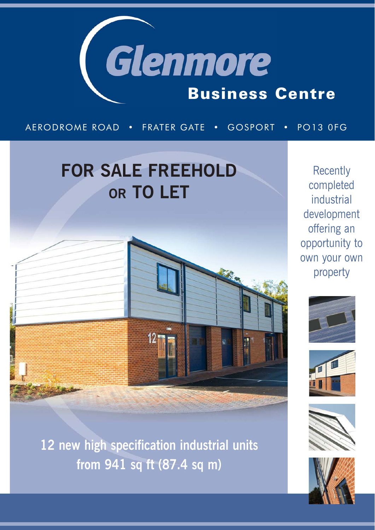

### AERODROME ROAD • FRATER GATE • GOSPORT • PO13 0FG

# **FOR SALE FREEHOLD OR TO LET**



**12 new high specification industrial units from 941 sq ft (87.4 sq m)**

**Recently** completed industrial development offering an opportunity to own your own property